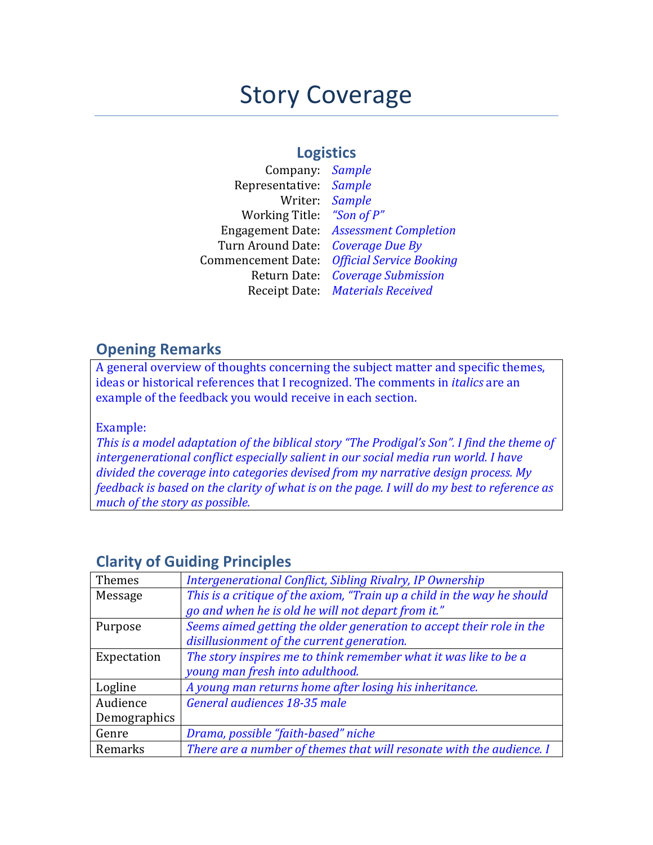# **Story Coverage**

## **Logistics**

| Company:                  | <b>Sample</b>                   |
|---------------------------|---------------------------------|
| Representative:           | <b>Sample</b>                   |
| Writer:                   | <b>Sample</b>                   |
| <b>Working Title:</b>     | "Son of P"                      |
| <b>Engagement Date:</b>   | <b>Assessment Completion</b>    |
| Turn Around Date:         | Coverage Due By                 |
| <b>Commencement Date:</b> | <b>Official Service Booking</b> |
| Return Date:              | <b>Coverage Submission</b>      |
| Receipt Date:             | <b>Materials Received</b>       |

### **Opening Remarks**

A general overview of thoughts concerning the subject matter and specific themes, ideas or historical references that I recognized. The comments in *italics* are an example of the feedback you would receive in each section.

Example:

*This is a model adaptation of the biblical story "The Prodigal's Son". I find the theme of intergenerational conflict especially salient in our social media run world. I have* divided the coverage into categories devised from my narrative design process. My *feedback is based on the clarity of what is on the page. I will do my best to reference as much of the story as possible.* 

| Themes       | Intergenerational Conflict, Sibling Rivalry, IP Ownership               |
|--------------|-------------------------------------------------------------------------|
| Message      | This is a critique of the axiom, "Train up a child in the way he should |
|              | go and when he is old he will not depart from it."                      |
| Purpose      | Seems aimed getting the older generation to accept their role in the    |
|              | disillusionment of the current generation.                              |
| Expectation  | The story inspires me to think remember what it was like to be a        |
|              | young man fresh into adulthood.                                         |
| Logline      | A young man returns home after losing his inheritance.                  |
| Audience     | General audiences 18-35 male                                            |
| Demographics |                                                                         |
| Genre        | Drama, possible "faith-based" niche                                     |
| Remarks      | There are a number of themes that will resonate with the audience. I    |

# **Clarity of Guiding Principles**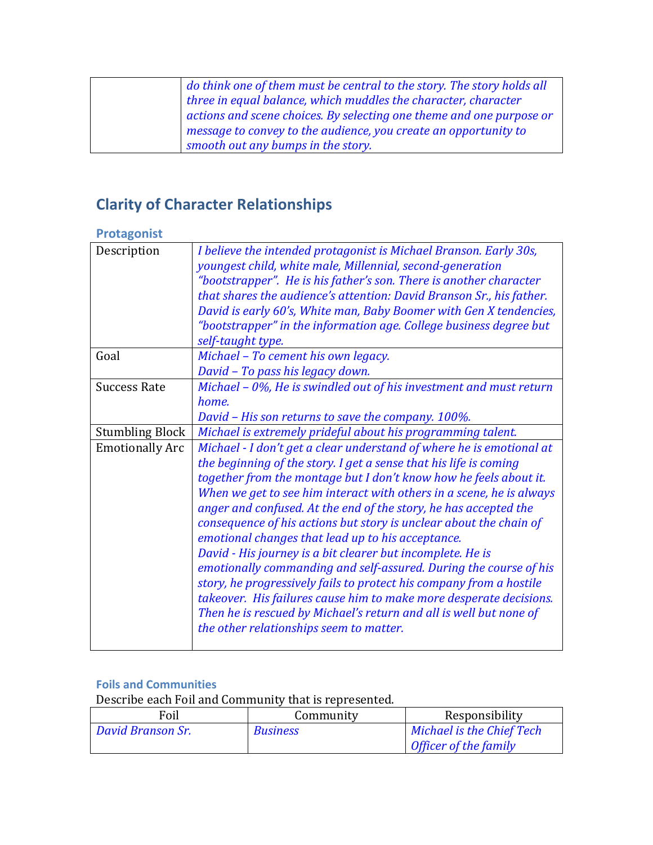|  | do think one of them must be central to the story. The story holds all |
|--|------------------------------------------------------------------------|
|  | three in equal balance, which muddles the character, character         |
|  | actions and scene choices. By selecting one theme and one purpose or   |
|  | message to convey to the audience, you create an opportunity to        |
|  | smooth out any bumps in the story.                                     |

# **Clarity of Character Relationships**

#### **Protagonist**

| Description            | I believe the intended protagonist is Michael Branson. Early 30s,    |  |
|------------------------|----------------------------------------------------------------------|--|
|                        | youngest child, white male, Millennial, second-generation            |  |
|                        | "bootstrapper". He is his father's son. There is another character   |  |
|                        | that shares the audience's attention: David Branson Sr., his father. |  |
|                        | David is early 60's, White man, Baby Boomer with Gen X tendencies,   |  |
|                        | "bootstrapper" in the information age. College business degree but   |  |
|                        | self-taught type.                                                    |  |
| Goal                   | Michael - To cement his own legacy.                                  |  |
|                        | David - To pass his legacy down.                                     |  |
|                        |                                                                      |  |
| <b>Success Rate</b>    | Michael - 0%, He is swindled out of his investment and must return   |  |
|                        | home.                                                                |  |
|                        | David - His son returns to save the company. 100%.                   |  |
| <b>Stumbling Block</b> | Michael is extremely prideful about his programming talent.          |  |
| <b>Emotionally Arc</b> | Michael - I don't get a clear understand of where he is emotional at |  |
|                        | the beginning of the story. I get a sense that his life is coming    |  |
|                        | together from the montage but I don't know how he feels about it.    |  |
|                        | When we get to see him interact with others in a scene, he is always |  |
|                        | anger and confused. At the end of the story, he has accepted the     |  |
|                        | consequence of his actions but story is unclear about the chain of   |  |
|                        | emotional changes that lead up to his acceptance.                    |  |
|                        | David - His journey is a bit clearer but incomplete. He is           |  |
|                        |                                                                      |  |
|                        | emotionally commanding and self-assured. During the course of his    |  |
|                        | story, he progressively fails to protect his company from a hostile  |  |
|                        | takeover. His failures cause him to make more desperate decisions.   |  |
|                        | Then he is rescued by Michael's return and all is well but none of   |  |
|                        | the other relationships seem to matter.                              |  |
|                        |                                                                      |  |

#### **Foils and Communities**

Describe each Foil and Community that is represented.

| Foil              | Community       | Responsibility            |
|-------------------|-----------------|---------------------------|
| David Branson Sr. | <b>Business</b> | Michael is the Chief Tech |
|                   |                 | Officer of the family     |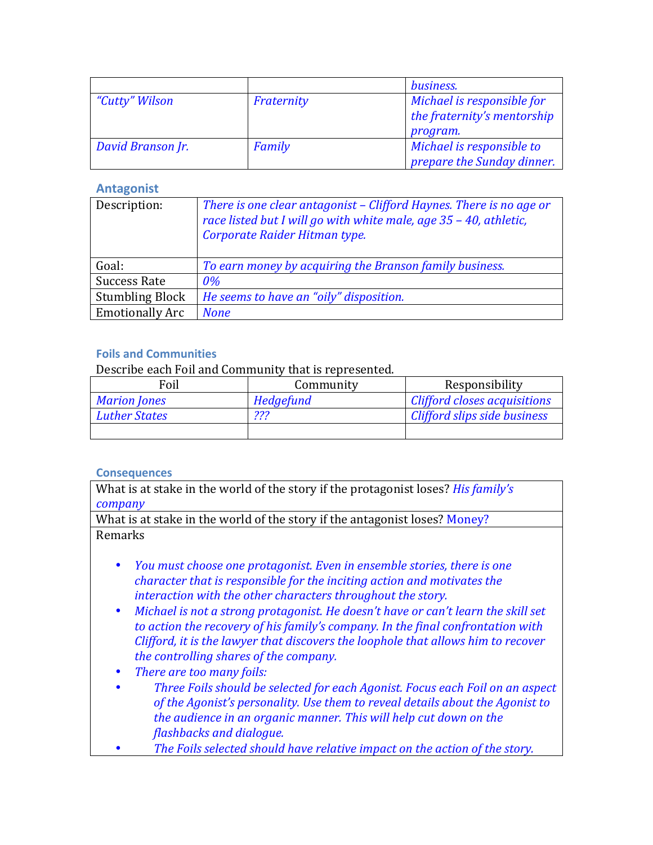|                   |            | business.                   |
|-------------------|------------|-----------------------------|
| "Cutty" Wilson    | Fraternity | Michael is responsible for  |
|                   |            | the fraternity's mentorship |
|                   |            | program.                    |
| David Branson Jr. | Family     | Michael is responsible to   |
|                   |            | prepare the Sunday dinner.  |

#### **Antagonist**

| Description:           | There is one clear antagonist – Clifford Haynes. There is no age or<br>race listed but I will go with white male, age 35 - 40, athletic,<br>Corporate Raider Hitman type. |
|------------------------|---------------------------------------------------------------------------------------------------------------------------------------------------------------------------|
| Goal:                  | To earn money by acquiring the Branson family business.                                                                                                                   |
| <b>Success Rate</b>    | 0%                                                                                                                                                                        |
| <b>Stumbling Block</b> | He seems to have an "oily" disposition.                                                                                                                                   |
| <b>Emotionally Arc</b> | <b>None</b>                                                                                                                                                               |

#### **Foils and Communities**

Describe each Foil and Community that is represented.

| Foil                 | Community | Responsibility               |
|----------------------|-----------|------------------------------|
| <b>Marion Jones</b>  | Hedgefund | Clifford closes acquisitions |
| <b>Luther States</b> | 222<br>.  | Clifford slips side business |
|                      |           |                              |

#### **Consequences**

What is at stake in the world of the story if the protagonist loses? *His family's company*

What is at stake in the world of the story if the antagonist loses? Money? Remarks

- *You must choose one protagonist. Even in ensemble stories, there is one character that is responsible for the inciting action and motivates the interaction with the other characters throughout the story.*
- Michael is not a strong protagonist. He doesn't have or can't learn the skill set to action the recovery of his family's company. In the final confrontation with *Clifford, it is the lawyer that discovers the loophole that allows him to recover the controlling shares of the company.*
- *There are too many foils:*
- *Three Foils should be selected for each Agonist. Focus each Foil on an aspect of the Agonist's personality.* Use them to reveal details about the Agonist to *the audience in an organic manner. This will help cut down on the flashbacks and dialogue.*
- The Foils selected should have relative impact on the action of the story.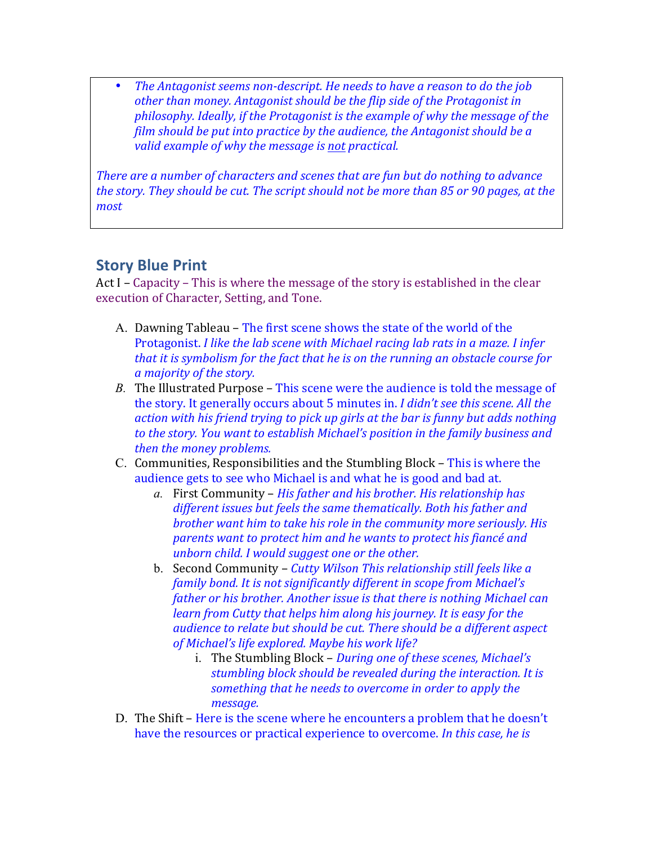• The Antagonist seems non-descript. He needs to have a reason to do the job other than money. Antagonist should be the flip side of the Protagonist in *philosophy.* Ideally, if the Protagonist is the example of why the message of the *film should be put into practice by the audience, the Antagonist should be a valid* example of why the message is not practical.

*There are a number of characters and scenes that are fun but do nothing to advance the story. They should be cut. The script should not be more than 85 or 90 pages, at the most*

## **Story Blue Print**

Act I – Capacity – This is where the message of the story is established in the clear execution of Character, Setting, and Tone.

- A. Dawning Tableau The first scene shows the state of the world of the Protagonist. *I like the lab scene with Michael racing lab rats in a maze. I infer that it is symbolism for the fact that he is on the running an obstacle course for a majority of the story.*
- *B.* The Illustrated Purpose This scene were the audience is told the message of the story. It generally occurs about 5 minutes in. *I didn't see this scene. All the action* with his friend trying to pick up girls at the bar is funny but adds nothing to the story. You want to establish Michael's position in the family business and *then the money problems.*
- C. Communities, Responsibilities and the Stumbling Block This is where the audience gets to see who Michael is and what he is good and bad at.
	- a. First Community *His father and his brother. His relationship has* different issues but feels the same thematically. Both his father and *brother* want him to take his role in the community more seriously. His *parents* want to protect him and he wants to protect his fiancé and *unborn child. I would suggest one or the other.*
	- b. Second Community *Cutty Wilson This relationship still feels like a family bond. It is not significantly different in scope from Michael's father or his brother. Another issue is that there is nothing Michael can learn* from Cutty that helps him along his journey. It is easy for the audience to relate but should be cut. There should be a different aspect of Michael's life explored. Maybe his work life?
		- i. The Stumbling Block *During one of these scenes, Michael's stumbling block should be revealed during the interaction. It is* something that he needs to overcome in order to apply the *message.*
- D. The Shift Here is the scene where he encounters a problem that he doesn't have the resources or practical experience to overcome. *In this case, he is*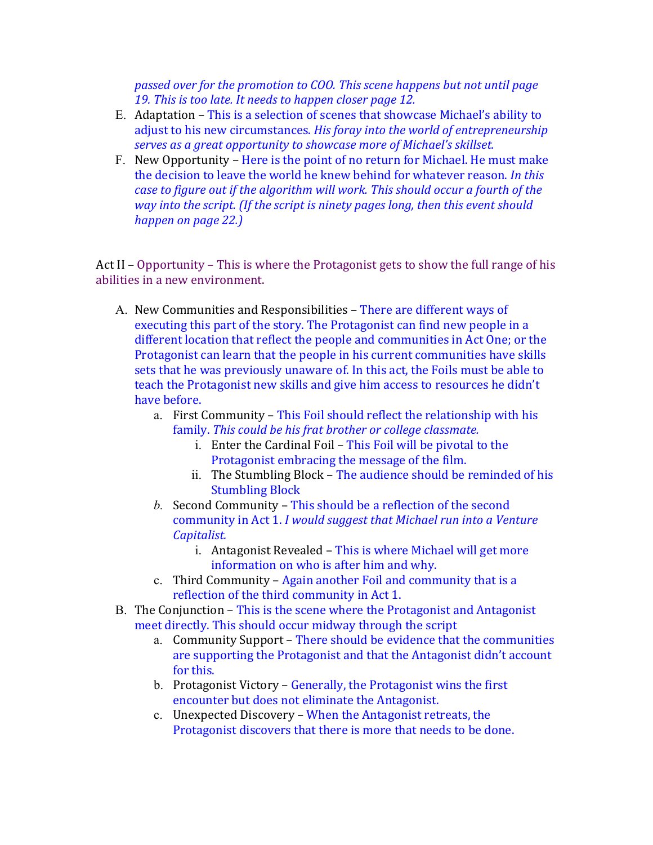passed over for the promotion to COO. This scene happens but not until page 19. This is too late. It needs to happen closer page 12.

- E. Adaptation This is a selection of scenes that showcase Michael's ability to adjust to his new circumstances. *His foray into the world of entrepreneurship* serves as a great opportunity to showcase more of Michael's skillset.
- F. New Opportunity Here is the point of no return for Michael. He must make the decision to leave the world he knew behind for whatever reason. *In this case to figure out if the algorithm will work. This should occur a fourth of the way* into the script. (If the script is ninety pages long, then this event should *happen on page 22.)*

Act II – Opportunity – This is where the Protagonist gets to show the full range of his abilities in a new environment.

- A. New Communities and Responsibilities There are different ways of executing this part of the story. The Protagonist can find new people in a different location that reflect the people and communities in Act One; or the Protagonist can learn that the people in his current communities have skills sets that he was previously unaware of. In this act, the Foils must be able to teach the Protagonist new skills and give him access to resources he didn't have before.
	- a. First Community This Foil should reflect the relationship with his family. This could be his frat brother or college classmate.
		- $i.$  Enter the Cardinal Foil This Foil will be pivotal to the Protagonist embracing the message of the film.
		- ii. The Stumbling Block The audience should be reminded of his **Stumbling Block**
	- *b.* Second Community This should be a reflection of the second community in Act 1. *I* would suggest that Michael run into a Venture *Capitalist.*
		- i. Antagonist Revealed This is where Michael will get more information on who is after him and why.
	- c. Third Community Again another Foil and community that is a reflection of the third community in Act 1.
- B. The Conjunction This is the scene where the Protagonist and Antagonist meet directly. This should occur midway through the script
	- a. Community Support There should be evidence that the communities are supporting the Protagonist and that the Antagonist didn't account for this.
	- b. Protagonist Victory Generally, the Protagonist wins the first encounter but does not eliminate the Antagonist.
	- c. Unexpected Discovery When the Antagonist retreats, the Protagonist discovers that there is more that needs to be done.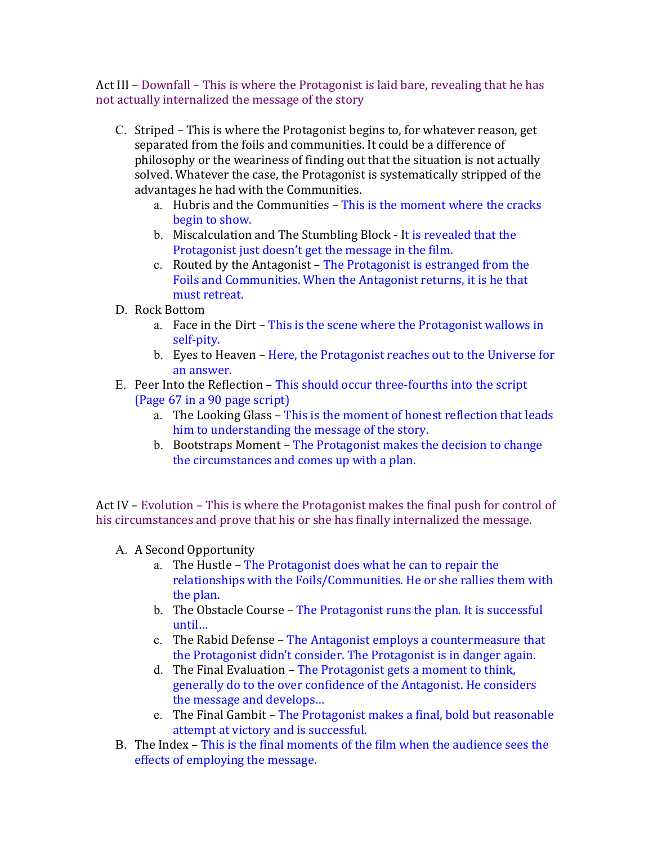Act III – Downfall – This is where the Protagonist is laid bare, revealing that he has not actually internalized the message of the story

- C. Striped This is where the Protagonist begins to, for whatever reason, get separated from the foils and communities. It could be a difference of philosophy or the weariness of finding out that the situation is not actually solved. Whatever the case, the Protagonist is systematically stripped of the advantages he had with the Communities.
	- a. Hubris and the Communities This is the moment where the cracks begin to show.
	- b. Miscalculation and The Stumbling Block It is revealed that the Protagonist just doesn't get the message in the film.
	- c. Routed by the Antagonist The Protagonist is estranged from the Foils and Communities. When the Antagonist returns, it is he that must retreat.
- D. Rock Bottom
	- a. Face in the Dirt This is the scene where the Protagonist wallows in self-pity.
	- b. Eyes to Heaven Here, the Protagonist reaches out to the Universe for an answer.
- E. Peer Into the Reflection This should occur three-fourths into the script (Page 67 in a 90 page script)
	- a. The Looking Glass This is the moment of honest reflection that leads him to understanding the message of the story.
	- b. Bootstraps Moment The Protagonist makes the decision to change the circumstances and comes up with a plan.

Act IV – Evolution – This is where the Protagonist makes the final push for control of his circumstances and prove that his or she has finally internalized the message.

- A. A Second Opportunity
	- a. The Hustle The Protagonist does what he can to repair the relationships with the Foils/Communities. He or she rallies them with the plan.
	- b. The Obstacle Course The Protagonist runs the plan. It is successful until…
	- c. The Rabid Defense The Antagonist employs a countermeasure that the Protagonist didn't consider. The Protagonist is in danger again.
	- d. The Final Evaluation The Protagonist gets a moment to think, generally do to the over confidence of the Antagonist. He considers the message and develops...
	- e. The Final Gambit The Protagonist makes a final, bold but reasonable attempt at victory and is successful.
- B. The Index This is the final moments of the film when the audience sees the effects of employing the message.